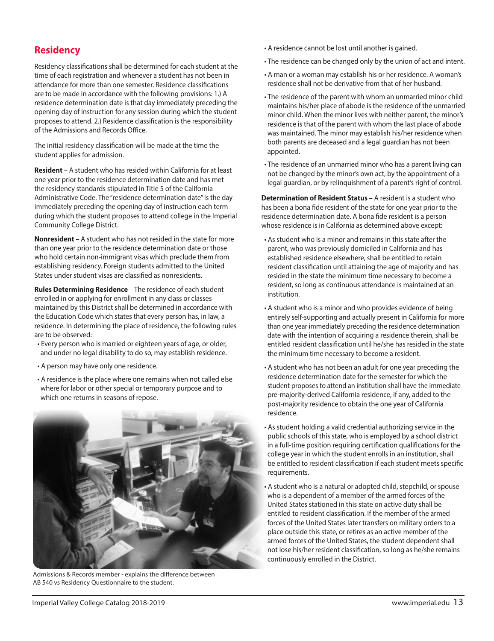## **Residency**

Residency classifications shall be determined for each student at the time of each registration and whenever a student has not been in attendance for more than one semester. Residence classifications are to be made in accordance with the following provisions: 1.) A residence determination date is that day immediately preceding the opening day of instruction for any session during which the student proposes to attend. 2.) Residence classification is the responsibility of the Admissions and Records Office.

The initial residency classification will be made at the time the student applies for admission.

**Resident** – A student who has resided within California for at least one year prior to the residence determination date and has met the residency standards stipulated in Title 5 of the California Administrative Code. The "residence determination date" is the day immediately preceding the opening day of instruction each term during which the student proposes to attend college in the Imperial Community College District.

**Nonresident** – A student who has not resided in the state for more than one year prior to the residence determination date or those who hold certain non-immigrant visas which preclude them from establishing residency. Foreign students admitted to the United States under student visas are classified as nonresidents.

**Rules Determining Residence** – The residence of each student enrolled in or applying for enrollment in any class or classes maintained by this District shall be determined in accordance with the Education Code which states that every person has, in law, a residence. In determining the place of residence, the following rules are to be observed:

- Every person who is married or eighteen years of age, or older, and under no legal disability to do so, may establish residence.
- A person may have only one residence.
- A residence is the place where one remains when not called else where for labor or other special or temporary purpose and to which one returns in seasons of repose.



Admissions & Records member - explains the difference between AB 540 vs Residency Questionnaire to the student.

- A residence cannot be lost until another is gained.
- The residence can be changed only by the union of act and intent.
- A man or a woman may establish his or her residence. A woman's residence shall not be derivative from that of her husband.
- The residence of the parent with whom an unmarried minor child maintains his/her place of abode is the residence of the unmarried minor child. When the minor lives with neither parent, the minor's residence is that of the parent with whom the last place of abode was maintained. The minor may establish his/her residence when both parents are deceased and a legal guardian has not been appointed.
- The residence of an unmarried minor who has a parent living can not be changed by the minor's own act, by the appointment of a legal guardian, or by relinquishment of a parent's right of control.

**Determination of Resident Status** – A resident is a student who has been a bona fide resident of the state for one year prior to the residence determination date. A bona fide resident is a person whose residence is in California as determined above except:

- As student who is a minor and remains in this state after the parent, who was previously domiciled in California and has established residence elsewhere, shall be entitled to retain resident classification until attaining the age of majority and has resided in the state the minimum time necessary to become a resident, so long as continuous attendance is maintained at an institution.
- A student who is a minor and who provides evidence of being entirely self-supporting and actually present in California for more than one year immediately preceding the residence determination date with the intention of acquiring a residence therein, shall be entitled resident classification until he/she has resided in the state the minimum time necessary to become a resident.
- A student who has not been an adult for one year preceding the residence determination date for the semester for which the student proposes to attend an institution shall have the immediate pre-majority-derived California residence, if any, added to the post-majority residence to obtain the one year of California residence.
- As student holding a valid credential authorizing service in the public schools of this state, who is employed by a school district in a full-time position requiring certification qualifications for the college year in which the student enrolls in an institution, shall be entitled to resident classification if each student meets specific requirements.
- A student who is a natural or adopted child, stepchild, or spouse who is a dependent of a member of the armed forces of the United States stationed in this state on active duty shall be entitled to resident classification. If the member of the armed forces of the United States later transfers on military orders to a place outside this state, or retires as an active member of the armed forces of the United States, the student dependent shall not lose his/her resident classification, so long as he/she remains continuously enrolled in the District.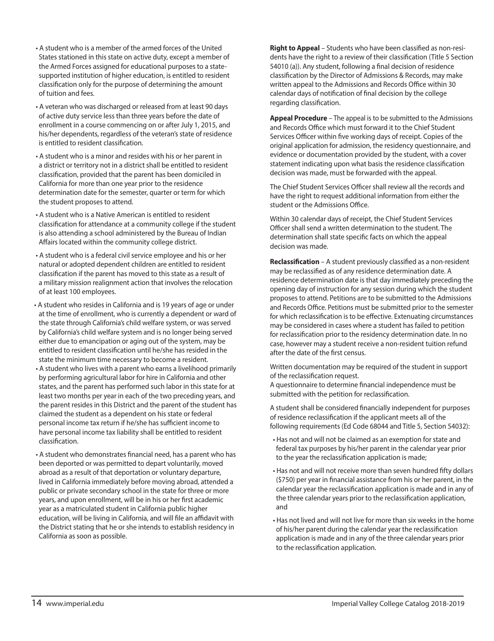- A student who is a member of the armed forces of the United States stationed in this state on active duty, except a member of the Armed Forces assigned for educational purposes to a statesupported institution of higher education, is entitled to resident classification only for the purpose of determining the amount of tuition and fees.
- A veteran who was discharged or released from at least 90 days of active duty service less than three years before the date of enrollment in a course commencing on or after July 1, 2015, and his/her dependents, regardless of the veteran's state of residence is entitled to resident classification.
- A student who is a minor and resides with his or her parent in a district or territory not in a district shall be entitled to resident classification, provided that the parent has been domiciled in California for more than one year prior to the residence determination date for the semester, quarter or term for which the student proposes to attend.
- A student who is a Native American is entitled to resident classification for attendance at a community college if the student is also attending a school administered by the Bureau of Indian Affairs located within the community college district.
- A student who is a federal civil service employee and his or her natural or adopted dependent children are entitled to resident classification if the parent has moved to this state as a result of a military mission realignment action that involves the relocation of at least 100 employees.
- A student who resides in California and is 19 years of age or under at the time of enrollment, who is currently a dependent or ward of the state through California's child welfare system, or was served by California's child welfare system and is no longer being served either due to emancipation or aging out of the system, may be entitled to resident classification until he/she has resided in the state the minimum time necessary to become a resident.
- A student who lives with a parent who earns a livelihood primarily by performing agricultural labor for hire in California and other states, and the parent has performed such labor in this state for at least two months per year in each of the two preceding years, and the parent resides in this District and the parent of the student has claimed the student as a dependent on his state or federal personal income tax return if he/she has sufficient income to have personal income tax liability shall be entitled to resident classification.
- A student who demonstrates financial need, has a parent who has been deported or was permitted to depart voluntarily, moved abroad as a result of that deportation or voluntary departure, lived in California immediately before moving abroad, attended a public or private secondary school in the state for three or more years, and upon enrollment, will be in his or her first academic year as a matriculated student in California public higher education, will be living in California, and will file an affidavit with the District stating that he or she intends to establish residency in California as soon as possible.

**Right to Appeal** – Students who have been classified as non-residents have the right to a review of their classification (Title 5 Section 54010 (a)). Any student, following a final decision of residence classification by the Director of Admissions & Records, may make written appeal to the Admissions and Records Office within 30 calendar days of notification of final decision by the college regarding classification.

**Appeal Procedure** – The appeal is to be submitted to the Admissions and Records Office which must forward it to the Chief Student Services Officer within five working days of receipt. Copies of the original application for admission, the residency questionnaire, and evidence or documentation provided by the student, with a cover statement indicating upon what basis the residence classification decision was made, must be forwarded with the appeal.

The Chief Student Services Officer shall review all the records and have the right to request additional information from either the student or the Admissions Office.

Within 30 calendar days of receipt, the Chief Student Services Officer shall send a written determination to the student. The determination shall state specific facts on which the appeal decision was made.

**Reclassification** – A student previously classified as a non-resident may be reclassified as of any residence determination date. A residence determination date is that day immediately preceding the opening day of instruction for any session during which the student proposes to attend. Petitions are to be submitted to the Admissions and Records Office. Petitions must be submitted prior to the semester for which reclassification is to be effective. Extenuating circumstances may be considered in cases where a student has failed to petition for reclassification prior to the residency determination date. In no case, however may a student receive a non-resident tuition refund after the date of the first census.

Written documentation may be required of the student in support of the reclassification request.

A questionnaire to determine financial independence must be submitted with the petition for reclassification.

A student shall be considered financially independent for purposes of residence reclassification if the applicant meets all of the following requirements (Ed Code 68044 and Title 5, Section 54032):

- Has not and will not be claimed as an exemption for state and federal tax purposes by his/her parent in the calendar year prior to the year the reclassification application is made;
- Has not and will not receive more than seven hundred fifty dollars (\$750) per year in financial assistance from his or her parent, in the calendar year the reclassification application is made and in any of the three calendar years prior to the reclassification application, and
- Has not lived and will not live for more than six weeks in the home of his/her parent during the calendar year the reclassification application is made and in any of the three calendar years prior to the reclassification application.